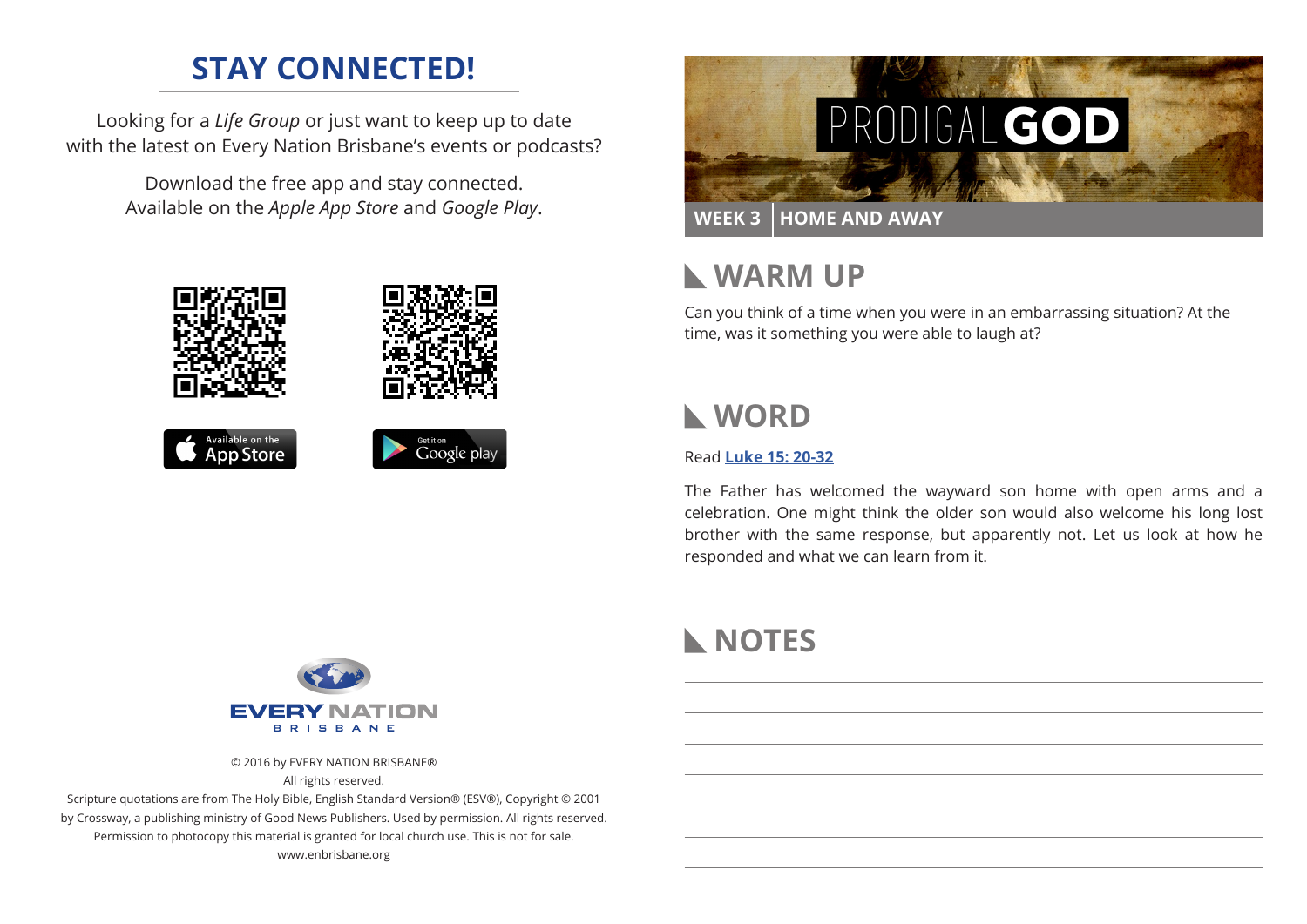## **STAY CONNECTED!**

Looking for a *Life Group* or just want to keep up to date with the latest on Every Nation Brisbane's events or podcasts?

> Download the free app and stay connected. Available on the *Apple App Store* and *Google Play*.





## **WARM UP**

Can you think of a time when you were in an embarrassing situation? At the time, was it something you were able to laugh at?

## **WORD**

### Read **Luke 15: 20-32**

The Father has welcomed the wayward son home with open arms and a celebration. One might think the older son would also welcome his long lost brother with the same response, but apparently not. Let us look at how he responded and what we can learn from it.



© 2016 by EVERY NATION BRISBANE® All rights reserved.

Scripture quotations are from The Holy Bible, English Standard Version® (ESV®), Copyright © 2001 by Crossway, a publishing ministry of Good News Publishers. Used by permission. All rights reserved. Permission to photocopy this material is granted for local church use. This is not for sale. www.enbrisbane.org

# **NOTES**